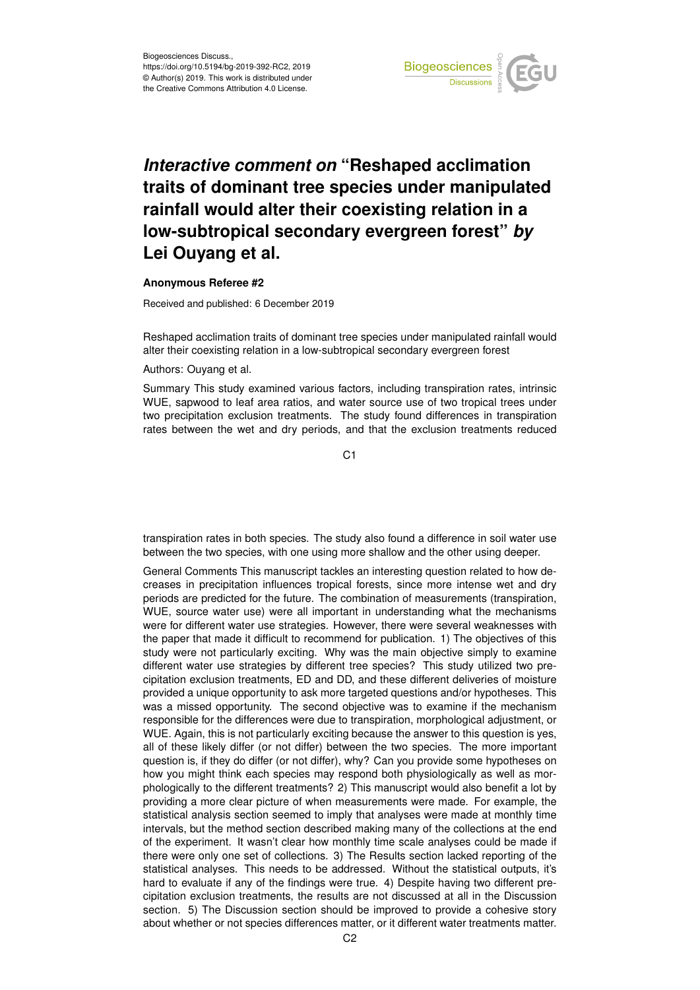

## *Interactive comment on* **"Reshaped acclimation traits of dominant tree species under manipulated rainfall would alter their coexisting relation in a low-subtropical secondary evergreen forest"** *by* **Lei Ouyang et al.**

## **Anonymous Referee #2**

Received and published: 6 December 2019

Reshaped acclimation traits of dominant tree species under manipulated rainfall would alter their coexisting relation in a low-subtropical secondary evergreen forest

Authors: Ouyang et al.

Summary This study examined various factors, including transpiration rates, intrinsic WUE, sapwood to leaf area ratios, and water source use of two tropical trees under two precipitation exclusion treatments. The study found differences in transpiration rates between the wet and dry periods, and that the exclusion treatments reduced

C1

transpiration rates in both species. The study also found a difference in soil water use between the two species, with one using more shallow and the other using deeper.

General Comments This manuscript tackles an interesting question related to how decreases in precipitation influences tropical forests, since more intense wet and dry periods are predicted for the future. The combination of measurements (transpiration, WUE, source water use) were all important in understanding what the mechanisms were for different water use strategies. However, there were several weaknesses with the paper that made it difficult to recommend for publication. 1) The objectives of this study were not particularly exciting. Why was the main objective simply to examine different water use strategies by different tree species? This study utilized two precipitation exclusion treatments, ED and DD, and these different deliveries of moisture provided a unique opportunity to ask more targeted questions and/or hypotheses. This was a missed opportunity. The second objective was to examine if the mechanism responsible for the differences were due to transpiration, morphological adjustment, or WUE. Again, this is not particularly exciting because the answer to this question is yes, all of these likely differ (or not differ) between the two species. The more important question is, if they do differ (or not differ), why? Can you provide some hypotheses on how you might think each species may respond both physiologically as well as morphologically to the different treatments? 2) This manuscript would also benefit a lot by providing a more clear picture of when measurements were made. For example, the statistical analysis section seemed to imply that analyses were made at monthly time intervals, but the method section described making many of the collections at the end of the experiment. It wasn't clear how monthly time scale analyses could be made if there were only one set of collections. 3) The Results section lacked reporting of the statistical analyses. This needs to be addressed. Without the statistical outputs, it's hard to evaluate if any of the findings were true. 4) Despite having two different precipitation exclusion treatments, the results are not discussed at all in the Discussion section. 5) The Discussion section should be improved to provide a cohesive story about whether or not species differences matter, or it different water treatments matter.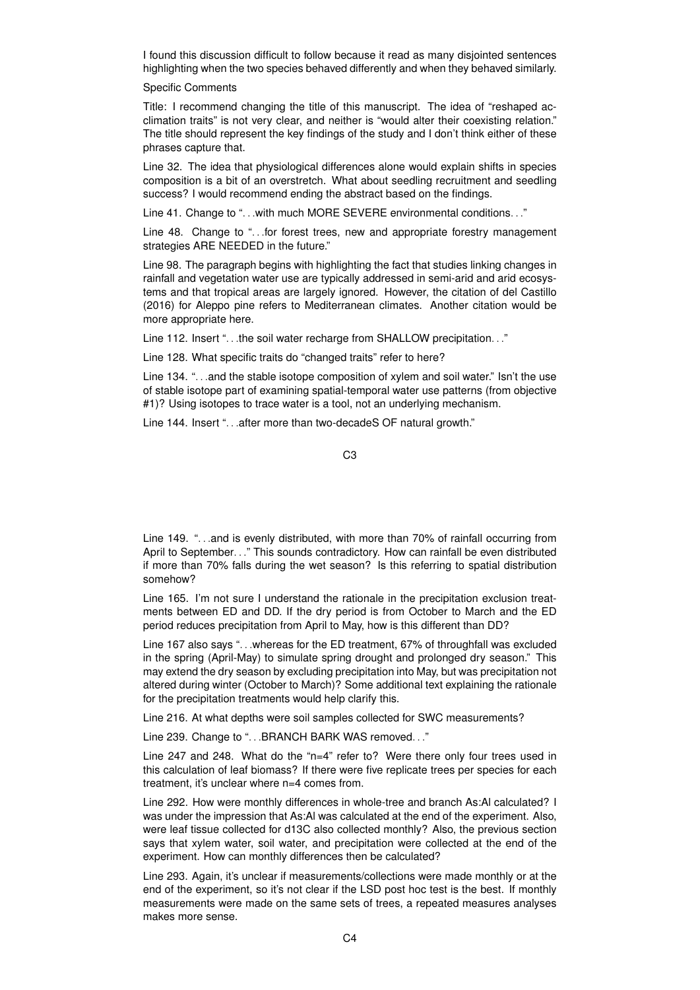I found this discussion difficult to follow because it read as many disjointed sentences highlighting when the two species behaved differently and when they behaved similarly.

## Specific Comments

Title: I recommend changing the title of this manuscript. The idea of "reshaped acclimation traits" is not very clear, and neither is "would alter their coexisting relation." The title should represent the key findings of the study and I don't think either of these phrases capture that.

Line 32. The idea that physiological differences alone would explain shifts in species composition is a bit of an overstretch. What about seedling recruitment and seedling success? I would recommend ending the abstract based on the findings.

Line 41. Change to "... with much MORE SEVERE environmental conditions..."

Line 48. Change to "...for forest trees, new and appropriate forestry management strategies ARE NEEDED in the future."

Line 98. The paragraph begins with highlighting the fact that studies linking changes in rainfall and vegetation water use are typically addressed in semi-arid and arid ecosystems and that tropical areas are largely ignored. However, the citation of del Castillo (2016) for Aleppo pine refers to Mediterranean climates. Another citation would be more appropriate here.

Line 112. Insert "...the soil water recharge from SHALLOW precipitation..."

Line 128. What specific traits do "changed traits" refer to here?

Line 134. "...and the stable isotope composition of xylem and soil water." Isn't the use of stable isotope part of examining spatial-temporal water use patterns (from objective #1)? Using isotopes to trace water is a tool, not an underlying mechanism.

Line 144. Insert "...after more than two-decadeS OF natural growth."

C3

Line 149. "...and is evenly distributed, with more than 70% of rainfall occurring from April to September..." This sounds contradictory. How can rainfall be even distributed if more than 70% falls during the wet season? Is this referring to spatial distribution somehow?

Line 165. I'm not sure I understand the rationale in the precipitation exclusion treatments between ED and DD. If the dry period is from October to March and the ED period reduces precipitation from April to May, how is this different than DD?

Line 167 also says ". . .whereas for the ED treatment, 67% of throughfall was excluded in the spring (April-May) to simulate spring drought and prolonged dry season." This may extend the dry season by excluding precipitation into May, but was precipitation not altered during winter (October to March)? Some additional text explaining the rationale for the precipitation treatments would help clarify this.

Line 216. At what depths were soil samples collected for SWC measurements?

Line 239. Change to "... BRANCH BARK WAS removed..."

Line 247 and 248. What do the "n=4" refer to? Were there only four trees used in this calculation of leaf biomass? If there were five replicate trees per species for each treatment, it's unclear where n=4 comes from.

Line 292. How were monthly differences in whole-tree and branch As:Al calculated? I was under the impression that As:Al was calculated at the end of the experiment. Also, were leaf tissue collected for d13C also collected monthly? Also, the previous section says that xylem water, soil water, and precipitation were collected at the end of the experiment. How can monthly differences then be calculated?

Line 293. Again, it's unclear if measurements/collections were made monthly or at the end of the experiment, so it's not clear if the LSD post hoc test is the best. If monthly measurements were made on the same sets of trees, a repeated measures analyses makes more sense.